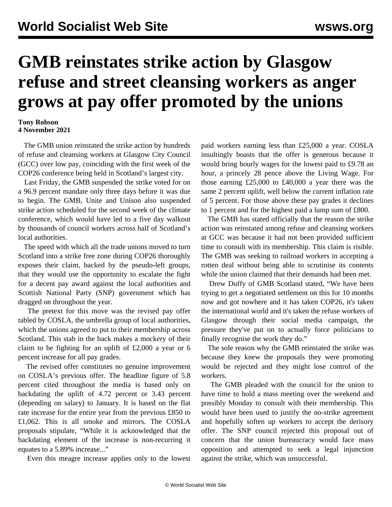## **GMB reinstates strike action by Glasgow refuse and street cleansing workers as anger grows at pay offer promoted by the unions**

## **Tony Robson 4 November 2021**

 The GMB union reinstated the strike action by hundreds of refuse and cleansing workers at Glasgow City Council (GCC) over low pay, coinciding with the first week of the COP26 conference being held in Scotland's largest city.

 Last Friday, the GMB suspended the strike voted for on a 96.9 percent mandate only three days before it was due to begin. The GMB, Unite and Unison also suspended strike action scheduled for the second week of the climate conference, which would have led to a five day walkout by thousands of council workers across half of Scotland's local authorities.

 The speed with which all the trade unions moved to turn Scotland into a strike free zone during COP26 thoroughly exposes their claim, backed by the pseudo-left groups, that they would use the opportunity to escalate the fight for a decent pay award against the local authorities and Scottish National Party (SNP) government which has dragged on throughout the year.

 The pretext for this move was the revised pay offer tabled by COSLA, the umbrella group of local authorities, which the unions agreed to put to their membership across Scotland. This stab in the back makes a mockery of their claim to be fighting for an uplift of £2,000 a year or 6 percent increase for all pay grades.

 The revised offer constitutes no genuine improvement on COSLA's previous offer. The headline figure of 5.8 percent cited throughout the media is based only on backdating the uplift of 4.72 percent or 3.43 percent (depending on salary) to January. It is based on the flat rate increase for the entire year from the previous £850 to £1,062. This is all smoke and mirrors. The COSLA proposals stipulate, "While it is acknowledged that the backdating element of the increase is non-recurring it equates to a 5.89% increase..."

Even this meagre increase applies only to the lowest

paid workers earning less than £25,000 a year. COSLA insultingly boasts that the offer is generous because it would bring hourly wages for the lowest paid to £9.78 an hour, a princely 28 pence above the Living Wage. For those earning £25,000 to £40,000 a year there was the same 2 percent uplift, well below the current inflation rate of 5 percent. For those above these pay grades it declines to 1 percent and for the highest paid a lump sum of £800.

 The GMB has stated officially that the reason the strike action was reinstated among refuse and cleansing workers at GCC was because it had not been provided sufficient time to consult with its membership. This claim is risible. The GMB was seeking to railroad workers in accepting a rotten deal without being able to scrutinise its contents while the union claimed that their demands had been met.

 Drew Duffy of GMB Scotland stated, "We have been trying to get a negotiated settlement on this for 10 months now and got nowhere and it has taken COP26, it's taken the international world and it's taken the refuse workers of Glasgow through their social media campaign, the pressure they've put on to actually force politicians to finally recognise the work they do."

 The sole reason why the GMB reinstated the strike was because they knew the proposals they were promoting would be rejected and they might lose control of the workers.

 The GMB pleaded with the council for the union to have time to hold a mass meeting over the weekend and possibly Monday to consult with their membership. This would have been used to justify the no-strike agreement and hopefully soften up workers to accept the derisory offer. The SNP council rejected this proposal out of concern that the union bureaucracy would face mass opposition and attempted to seek a legal injunction against the strike, which was unsuccessful.